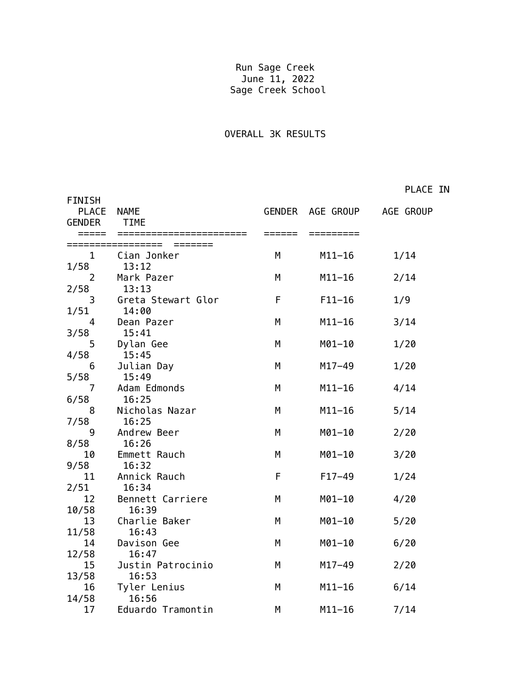## Run Sage Creek June 11, 2022 Sage Creek School

## OVERALL 3K RESULTS

PLACE IN

| <b>FINISH</b><br><b>PLACE</b><br><b>GENDER</b> | <b>NAME</b><br>TIME   |   | GENDER AGE GROUP AGE GROUP |      |
|------------------------------------------------|-----------------------|---|----------------------------|------|
| $\mathbf{1}$                                   | Cian Jonker           | M | $M11-16$                   | 1/14 |
| 1/58                                           | 13:12                 |   |                            |      |
| $\overline{2}$                                 | Mark Pazer            | M | $M11-16$                   | 2/14 |
| 2/58                                           | 13:13                 |   |                            |      |
| 3                                              | Greta Stewart Glor    | F | $F11-16$                   | 1/9  |
| 1/51                                           | 14:00                 |   |                            |      |
| 4                                              | Dean Pazer            | M | $M11-16$                   | 3/14 |
| 3/58                                           | 15:41                 |   |                            |      |
| 5                                              | Dylan Gee             | M | M01-10                     | 1/20 |
| 4/58                                           | 15:45                 |   |                            |      |
| 6                                              | Julian Day            | M | $M17 - 49$                 | 1/20 |
| 5/58                                           | 15:49                 |   |                            |      |
| 7                                              | Adam Edmonds          | M | $M11-16$                   | 4/14 |
| 6/58                                           | 16:25                 |   |                            |      |
| 8                                              | Nicholas Nazar        | M | $M11 - 16$                 | 5/14 |
| 7/58                                           | 16:25                 |   |                            |      |
| 9                                              | Andrew Beer           | M | M01-10                     | 2/20 |
| 8/58                                           | 16:26                 |   |                            |      |
| 10                                             | Emmett Rauch          | M | M01-10                     | 3/20 |
| 9/58<br>11                                     | 16:32                 | F |                            |      |
| 2/51                                           | Annick Rauch<br>16:34 |   | $F17-49$                   | 1/24 |
| 12                                             | Bennett Carriere      | M | M01-10                     | 4/20 |
| 10/58                                          | 16:39                 |   |                            |      |
| 13                                             | Charlie Baker         | M | $M01 - 10$                 | 5/20 |
| 11/58                                          | 16:43                 |   |                            |      |
| 14                                             | Davison Gee           | M | M01-10                     | 6/20 |
| 12/58                                          | 16:47                 |   |                            |      |
| 15                                             | Justin Patrocinio     | M | $M17 - 49$                 | 2/20 |
| 13/58                                          | 16:53                 |   |                            |      |
| 16                                             | Tyler Lenius          | M | $M11 - 16$                 | 6/14 |
| 14/58                                          | 16:56                 |   |                            |      |
| 17                                             | Eduardo Tramontin     | M | $M11-16$                   | 7/14 |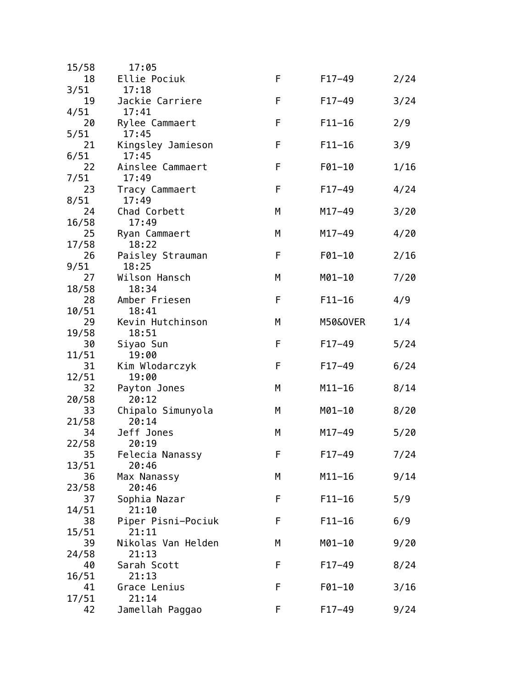| 15/58       | 17:05                   |   |            |      |
|-------------|-------------------------|---|------------|------|
| 18          | Ellie Pociuk            | F | $F17-49$   | 2/24 |
| 3/51        | 17:18                   |   |            |      |
| 19          | Jackie Carriere         | F | $F17-49$   | 3/24 |
| 4/51        | 17:41                   |   |            |      |
| 20          | Rylee Cammaert          | F | $F11 - 16$ | 2/9  |
| 5/51        | 17:45                   |   |            |      |
| 21          | Kingsley Jamieson       | F | $F11 - 16$ | 3/9  |
| 6/51        | 17:45                   |   |            |      |
| 22          | Ainslee Cammaert        | F | $F01 - 10$ | 1/16 |
| 7/51        | 17:49                   |   |            |      |
| 23          | Tracy Cammaert          | F | $F17-49$   | 4/24 |
| 8/51        | 17:49                   |   |            |      |
| 24          | Chad Corbett            | М | M17-49     | 3/20 |
| 16/58       | 17:49                   |   |            |      |
| 25          | Ryan Cammaert           | М | M17-49     | 4/20 |
| 17/58       | 18:22                   |   |            |      |
| 26          | Paisley Strauman        | F | $F01 - 10$ | 2/16 |
| 9/51        | 18:25                   |   |            |      |
| 27          | Wilson Hansch           | М | M01-10     | 7/20 |
| 18/58       | 18:34                   |   |            |      |
| 28          | Amber Friesen           | F | $F11 - 16$ | 4/9  |
| 10/51       | 18:41                   |   |            |      |
| 29          | Kevin Hutchinson        | М | M50&0VER   | 1/4  |
| 19/58       | 18:51                   |   |            |      |
| 30          | Siyao Sun               | F | $F17-49$   | 5/24 |
| 11/51<br>31 | 19:00<br>Kim Wlodarczyk | F | $F17-49$   | 6/24 |
| 12/51       | 19:00                   |   |            |      |
| 32          | Payton Jones            | М | $M11 - 16$ | 8/14 |
| 20/58       | 20:12                   |   |            |      |
| 33          | Chipalo Simunyola       | М | M01-10     | 8/20 |
| 21/58       | 20:14                   |   |            |      |
| 34          | Jeff Jones              | М | M17-49     | 5/20 |
| 22/58       | 20:19                   |   |            |      |
| 35          | Felecia Nanassy         | F | $F17 - 49$ | 7/24 |
| 13/51       | 20:46                   |   |            |      |
| 36          | Max Nanassy             | М | $M11 - 16$ | 9/14 |
| 23/58       | 20:46                   |   |            |      |
| 37          | Sophia Nazar            | F | $F11 - 16$ | 5/9  |
| 14/51       | 21:10                   |   |            |      |
| 38          | Piper Pisni-Pociuk      | F | $F11 - 16$ | 6/9  |
| 15/51       | 21:11                   |   |            |      |
| 39          | Nikolas Van Helden      | М | M01-10     | 9/20 |
| 24/58       | 21:13                   |   |            |      |
| 40          | Sarah Scott             | F | $F17-49$   | 8/24 |
| 16/51       | 21:13                   |   |            |      |
| 41          | Grace Lenius            | F | F01-10     | 3/16 |
| 17/51       | 21:14                   |   |            |      |
| 42          | Jamellah Paggao         | F | $F17-49$   | 9/24 |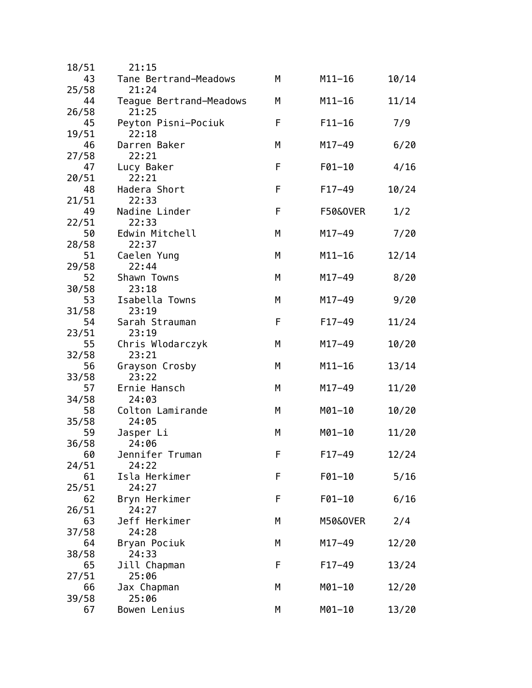| 18/51       | 21:15                   |   |                     |       |
|-------------|-------------------------|---|---------------------|-------|
| 43          | Tane Bertrand-Meadows   | М | $M11 - 16$          | 10/14 |
| 25/58       | 21:24                   |   |                     |       |
| 44          | Teague Bertrand-Meadows | М | $M11 - 16$          | 11/14 |
| 26/58       | 21:25                   |   |                     |       |
| 45          | Peyton Pisni-Pociuk     | F | $F11 - 16$          | 7/9   |
| 19/51       | 22:18                   |   |                     |       |
| 46          | Darren Baker            | M | $M17 - 49$          | 6/20  |
| 27/58       | 22:21                   |   |                     |       |
| 47          | Lucy Baker              | F | $F01 - 10$          | 4/16  |
| 20/51       | 22:21                   |   |                     |       |
| 48          | Hadera Short            | F | $F17-49$            | 10/24 |
| 21/51       | 22:33                   |   |                     |       |
| 49          | Nadine Linder           | F | <b>F50&amp;OVER</b> | 1/2   |
| 22/51       | 22:33                   |   |                     |       |
| 50          | Edwin Mitchell          | M | $M17 - 49$          | 7/20  |
| 28/58       | 22:37                   |   |                     |       |
| 51          | Caelen Yung             | М | $M11-16$            | 12/14 |
| 29/58       | 22:44                   |   |                     |       |
| 52          | Shawn Towns             | М | $M17 - 49$          | 8/20  |
| 30/58       | 23:18                   |   |                     |       |
| 53          | Isabella Towns          | М | $M17 - 49$          | 9/20  |
| 31/58       | 23:19                   |   |                     |       |
| 54          | Sarah Strauman          | F | $F17-49$            | 11/24 |
| 23/51       | 23:19                   |   |                     |       |
| 55          | Chris Wlodarczyk        | М | $M17 - 49$          | 10/20 |
| 32/58       | 23:21                   |   |                     |       |
| 56          | Grayson Crosby<br>23:22 | М | $M11 - 16$          | 13/14 |
| 33/58<br>57 | Ernie Hansch            | M | $M17 - 49$          | 11/20 |
| 34/58       | 24:03                   |   |                     |       |
| 58          | Colton Lamirande        | М | M01-10              | 10/20 |
| 35/58       | 24:05                   |   |                     |       |
| 59          | Jasper Li               | M | M01-10              | 11/20 |
| 36/58       | 24:06                   |   |                     |       |
| 60          | Jennifer Truman         | F | $F17 - 49$          | 12/24 |
| 24/51       | 24:22                   |   |                     |       |
| 61          | Isla Herkimer           | F | $F01 - 10$          | 5/16  |
| 25/51       | 24:27                   |   |                     |       |
| 62          | Bryn Herkimer           | F | $F01 - 10$          | 6/16  |
| 26/51       | 24:27                   |   |                     |       |
| 63          | Jeff Herkimer           | М | M50&0VER            | 2/4   |
| 37/58       | 24:28                   |   |                     |       |
| 64          | Bryan Pociuk            | М | $M17 - 49$          | 12/20 |
| 38/58       | 24:33                   |   |                     |       |
| 65          | Jill Chapman            | F | $F17-49$            | 13/24 |
| 27/51       | 25:06                   |   |                     |       |
| 66          | Jax Chapman             | М | $M01 - 10$          | 12/20 |
| 39/58       | 25:06                   |   |                     |       |
| 67          | Bowen Lenius            | М | M01-10              | 13/20 |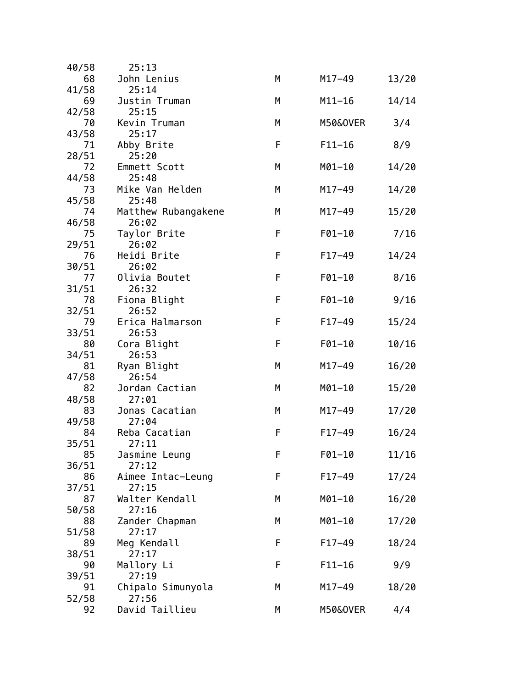| 40/58 | 25:13               |   |            |       |
|-------|---------------------|---|------------|-------|
| 68    | John Lenius         | M | $M17 - 49$ | 13/20 |
| 41/58 | 25:14               |   |            |       |
| 69    | Justin Truman       | М | $M11 - 16$ | 14/14 |
| 42/58 | 25:15               |   |            |       |
| 70    | Kevin Truman        | Μ | M50&0VER   | 3/4   |
| 43/58 | 25:17               |   |            |       |
| 71    | Abby Brite          | F | $F11 - 16$ | 8/9   |
| 28/51 | 25:20               |   |            |       |
| 72    | Emmett Scott        | Μ | M01-10     | 14/20 |
| 44/58 | 25:48               |   |            |       |
| 73    | Mike Van Helden     | М | $M17 - 49$ | 14/20 |
| 45/58 | 25:48               |   |            |       |
| 74    | Matthew Rubangakene | М | $M17 - 49$ | 15/20 |
| 46/58 | 26:02               |   |            |       |
| 75    | Taylor Brite        | F | F01-10     | 7/16  |
| 29/51 | 26:02               |   |            |       |
| 76    | Heidi Brite         | F | $F17-49$   | 14/24 |
| 30/51 | 26:02               |   |            |       |
| 77    | Olivia Boutet       | F | F01-10     | 8/16  |
| 31/51 | 26:32               |   |            |       |
| 78    | Fiona Blight        | F | F01-10     | 9/16  |
| 32/51 | 26:52               |   |            |       |
| 79    | Erica Halmarson     | F | $F17-49$   | 15/24 |
| 33/51 | 26:53               |   |            |       |
| 80    | Cora Blight         | F | F01-10     | 10/16 |
| 34/51 | 26:53               |   |            |       |
| 81    | Ryan Blight         | M | $M17 - 49$ | 16/20 |
| 47/58 | 26:54               |   |            |       |
| 82    | Jordan Cactian      | М | $M01 - 10$ | 15/20 |
| 48/58 | 27:01               |   |            |       |
| 83    | Jonas Cacatian      | М | $M17 - 49$ | 17/20 |
| 49/58 | 27:04               |   |            |       |
| 84    | Reba Cacatian       | F | $F17-49$   | 16/24 |
| 35/51 | 27:11               |   |            |       |
| 85    | Jasmine Leung       | F | F01-10     | 11/16 |
| 36/51 | 27:12               |   |            |       |
| 86    | Aimee Intac-Leung   | F | $F17 - 49$ | 17/24 |
| 37/51 | 27:15               |   |            |       |
| 87    | Walter Kendall      | М | $M01 - 10$ | 16/20 |
| 50/58 | 27:16               |   |            |       |
| 88    | Zander Chapman      | М | M01-10     | 17/20 |
| 51/58 | 27:17               |   |            |       |
| 89    | Meg Kendall         | F | $F17-49$   | 18/24 |
| 38/51 | 27:17               |   |            |       |
| 90    | Mallory Li          | F | $F11 - 16$ | 9/9   |
| 39/51 | 27:19               |   |            |       |
| 91    | Chipalo Simunyola   | Μ | M17-49     | 18/20 |
| 52/58 | 27:56               |   |            |       |
| 92    | David Taillieu      | М | M50&0VER   | 4/4   |